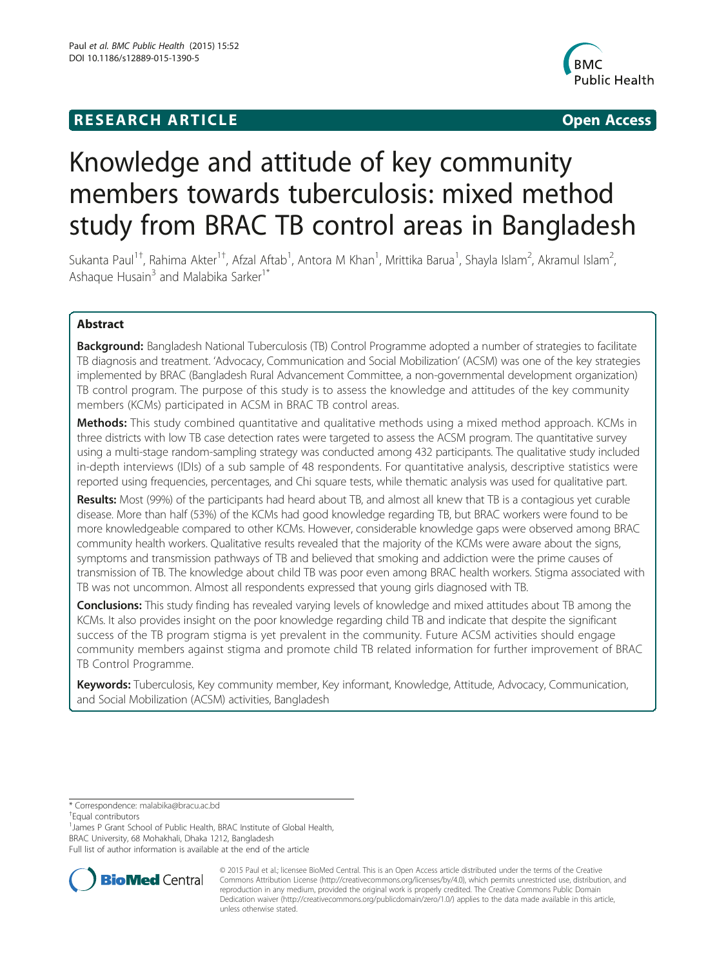## **RESEARCH ARTICLE Example 2014 12:30 The SEAR CHA R TIGGS**



# Knowledge and attitude of key community members towards tuberculosis: mixed method study from BRAC TB control areas in Bangladesh

Sukanta Paul<sup>1†</sup>, Rahima Akter<sup>1†</sup>, Afzal Aftab<sup>1</sup>, Antora M Khan<sup>1</sup>, Mrittika Barua<sup>1</sup>, Shayla Islam<sup>2</sup>, Akramul Islam<sup>2</sup> , Ashaque Husain<sup>3</sup> and Malabika Sarker<sup>1\*</sup>

## Abstract

Background: Bangladesh National Tuberculosis (TB) Control Programme adopted a number of strategies to facilitate TB diagnosis and treatment. 'Advocacy, Communication and Social Mobilization' (ACSM) was one of the key strategies implemented by BRAC (Bangladesh Rural Advancement Committee, a non-governmental development organization) TB control program. The purpose of this study is to assess the knowledge and attitudes of the key community members (KCMs) participated in ACSM in BRAC TB control areas.

Methods: This study combined quantitative and qualitative methods using a mixed method approach. KCMs in three districts with low TB case detection rates were targeted to assess the ACSM program. The quantitative survey using a multi-stage random-sampling strategy was conducted among 432 participants. The qualitative study included in-depth interviews (IDIs) of a sub sample of 48 respondents. For quantitative analysis, descriptive statistics were reported using frequencies, percentages, and Chi square tests, while thematic analysis was used for qualitative part.

Results: Most (99%) of the participants had heard about TB, and almost all knew that TB is a contagious yet curable disease. More than half (53%) of the KCMs had good knowledge regarding TB, but BRAC workers were found to be more knowledgeable compared to other KCMs. However, considerable knowledge gaps were observed among BRAC community health workers. Qualitative results revealed that the majority of the KCMs were aware about the signs, symptoms and transmission pathways of TB and believed that smoking and addiction were the prime causes of transmission of TB. The knowledge about child TB was poor even among BRAC health workers. Stigma associated with TB was not uncommon. Almost all respondents expressed that young girls diagnosed with TB.

**Conclusions:** This study finding has revealed varying levels of knowledge and mixed attitudes about TB among the KCMs. It also provides insight on the poor knowledge regarding child TB and indicate that despite the significant success of the TB program stigma is yet prevalent in the community. Future ACSM activities should engage community members against stigma and promote child TB related information for further improvement of BRAC TB Control Programme.

Keywords: Tuberculosis, Key community member, Key informant, Knowledge, Attitude, Advocacy, Communication, and Social Mobilization (ACSM) activities, Bangladesh

\* Correspondence: [malabika@bracu.ac.bd](mailto:malabika@bracu.ac.bd) †

Equal contributors

<sup>1</sup> James P Grant School of Public Health, BRAC Institute of Global Health, BRAC University, 68 Mohakhali, Dhaka 1212, Bangladesh

Full list of author information is available at the end of the article



© 2015 Paul et al.; licensee BioMed Central. This is an Open Access article distributed under the terms of the Creative Commons Attribution License [\(http://creativecommons.org/licenses/by/4.0\)](http://creativecommons.org/licenses/by/4.0), which permits unrestricted use, distribution, and reproduction in any medium, provided the original work is properly credited. The Creative Commons Public Domain Dedication waiver [\(http://creativecommons.org/publicdomain/zero/1.0/](http://creativecommons.org/publicdomain/zero/1.0/)) applies to the data made available in this article, unless otherwise stated.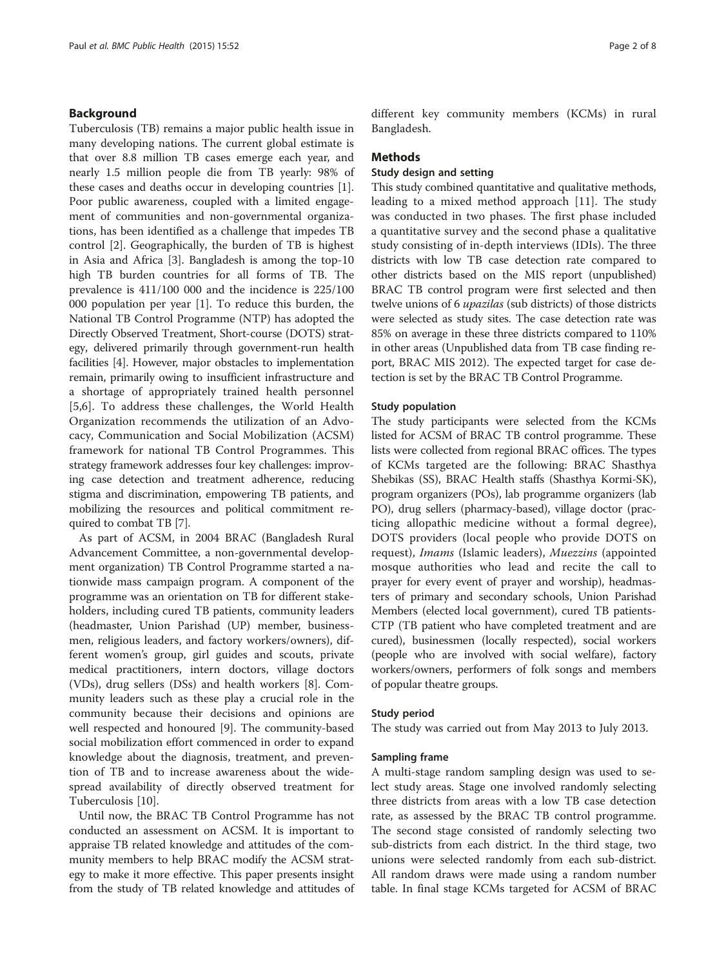## Background

Tuberculosis (TB) remains a major public health issue in many developing nations. The current global estimate is that over 8.8 million TB cases emerge each year, and nearly 1.5 million people die from TB yearly: 98% of these cases and deaths occur in developing countries [\[1](#page-7-0)]. Poor public awareness, coupled with a limited engagement of communities and non-governmental organizations, has been identified as a challenge that impedes TB control [\[2\]](#page-7-0). Geographically, the burden of TB is highest in Asia and Africa [[3\]](#page-7-0). Bangladesh is among the top-10 high TB burden countries for all forms of TB. The prevalence is 411/100 000 and the incidence is 225/100 000 population per year [[1\]](#page-7-0). To reduce this burden, the National TB Control Programme (NTP) has adopted the Directly Observed Treatment, Short-course (DOTS) strategy, delivered primarily through government-run health facilities [\[4](#page-7-0)]. However, major obstacles to implementation remain, primarily owing to insufficient infrastructure and a shortage of appropriately trained health personnel [[5,6](#page-7-0)]. To address these challenges, the World Health Organization recommends the utilization of an Advocacy, Communication and Social Mobilization (ACSM) framework for national TB Control Programmes. This strategy framework addresses four key challenges: improving case detection and treatment adherence, reducing stigma and discrimination, empowering TB patients, and mobilizing the resources and political commitment required to combat TB [\[7](#page-7-0)].

As part of ACSM, in 2004 BRAC (Bangladesh Rural Advancement Committee, a non-governmental development organization) TB Control Programme started a nationwide mass campaign program. A component of the programme was an orientation on TB for different stakeholders, including cured TB patients, community leaders (headmaster, Union Parishad (UP) member, businessmen, religious leaders, and factory workers/owners), different women's group, girl guides and scouts, private medical practitioners, intern doctors, village doctors (VDs), drug sellers (DSs) and health workers [[8\]](#page-7-0). Community leaders such as these play a crucial role in the community because their decisions and opinions are well respected and honoured [[9\]](#page-7-0). The community-based social mobilization effort commenced in order to expand knowledge about the diagnosis, treatment, and prevention of TB and to increase awareness about the widespread availability of directly observed treatment for Tuberculosis [\[10](#page-7-0)].

Until now, the BRAC TB Control Programme has not conducted an assessment on ACSM. It is important to appraise TB related knowledge and attitudes of the community members to help BRAC modify the ACSM strategy to make it more effective. This paper presents insight from the study of TB related knowledge and attitudes of different key community members (KCMs) in rural Bangladesh.

## Methods

## Study design and setting

This study combined quantitative and qualitative methods, leading to a mixed method approach [[11\]](#page-7-0). The study was conducted in two phases. The first phase included a quantitative survey and the second phase a qualitative study consisting of in-depth interviews (IDIs). The three districts with low TB case detection rate compared to other districts based on the MIS report (unpublished) BRAC TB control program were first selected and then twelve unions of 6 *upazilas* (sub districts) of those districts were selected as study sites. The case detection rate was 85% on average in these three districts compared to 110% in other areas (Unpublished data from TB case finding report, BRAC MIS 2012). The expected target for case detection is set by the BRAC TB Control Programme.

## Study population

The study participants were selected from the KCMs listed for ACSM of BRAC TB control programme. These lists were collected from regional BRAC offices. The types of KCMs targeted are the following: BRAC Shasthya Shebikas (SS), BRAC Health staffs (Shasthya Kormi-SK), program organizers (POs), lab programme organizers (lab PO), drug sellers (pharmacy-based), village doctor (practicing allopathic medicine without a formal degree), DOTS providers (local people who provide DOTS on request), Imams (Islamic leaders), Muezzins (appointed mosque authorities who lead and recite the call to prayer for every event of prayer and worship), headmasters of primary and secondary schools, Union Parishad Members (elected local government), cured TB patients-CTP (TB patient who have completed treatment and are cured), businessmen (locally respected), social workers (people who are involved with social welfare), factory workers/owners, performers of folk songs and members of popular theatre groups.

#### Study period

The study was carried out from May 2013 to July 2013.

#### Sampling frame

A multi-stage random sampling design was used to select study areas. Stage one involved randomly selecting three districts from areas with a low TB case detection rate, as assessed by the BRAC TB control programme. The second stage consisted of randomly selecting two sub-districts from each district. In the third stage, two unions were selected randomly from each sub-district. All random draws were made using a random number table. In final stage KCMs targeted for ACSM of BRAC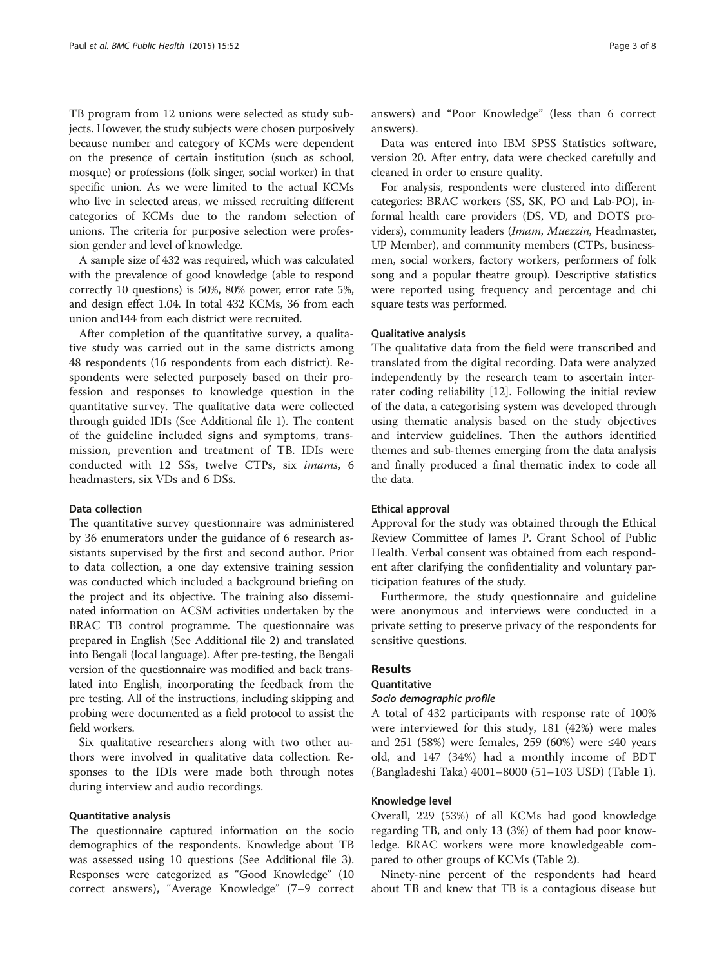TB program from 12 unions were selected as study subjects. However, the study subjects were chosen purposively because number and category of KCMs were dependent on the presence of certain institution (such as school, mosque) or professions (folk singer, social worker) in that specific union. As we were limited to the actual KCMs who live in selected areas, we missed recruiting different categories of KCMs due to the random selection of unions. The criteria for purposive selection were profession gender and level of knowledge.

A sample size of 432 was required, which was calculated with the prevalence of good knowledge (able to respond correctly 10 questions) is 50%, 80% power, error rate 5%, and design effect 1.04. In total 432 KCMs, 36 from each union and144 from each district were recruited.

After completion of the quantitative survey, a qualitative study was carried out in the same districts among 48 respondents (16 respondents from each district). Respondents were selected purposely based on their profession and responses to knowledge question in the quantitative survey. The qualitative data were collected through guided IDIs (See Additional file [1](#page-6-0)). The content of the guideline included signs and symptoms, transmission, prevention and treatment of TB. IDIs were conducted with 12 SSs, twelve CTPs, six imams, 6 headmasters, six VDs and 6 DSs.

#### Data collection

The quantitative survey questionnaire was administered by 36 enumerators under the guidance of 6 research assistants supervised by the first and second author. Prior to data collection, a one day extensive training session was conducted which included a background briefing on the project and its objective. The training also disseminated information on ACSM activities undertaken by the BRAC TB control programme. The questionnaire was prepared in English (See Additional file [2](#page-6-0)) and translated into Bengali (local language). After pre-testing, the Bengali version of the questionnaire was modified and back translated into English, incorporating the feedback from the pre testing. All of the instructions, including skipping and probing were documented as a field protocol to assist the field workers.

Six qualitative researchers along with two other authors were involved in qualitative data collection. Responses to the IDIs were made both through notes during interview and audio recordings.

### Quantitative analysis

The questionnaire captured information on the socio demographics of the respondents. Knowledge about TB was assessed using 10 questions (See Additional file [3](#page-6-0)). Responses were categorized as "Good Knowledge" (10 correct answers), "Average Knowledge" (7–9 correct

answers) and "Poor Knowledge" (less than 6 correct answers).

Data was entered into IBM SPSS Statistics software, version 20. After entry, data were checked carefully and cleaned in order to ensure quality.

For analysis, respondents were clustered into different categories: BRAC workers (SS, SK, PO and Lab-PO), informal health care providers (DS, VD, and DOTS providers), community leaders (Imam, Muezzin, Headmaster, UP Member), and community members (CTPs, businessmen, social workers, factory workers, performers of folk song and a popular theatre group). Descriptive statistics were reported using frequency and percentage and chi square tests was performed.

### Qualitative analysis

The qualitative data from the field were transcribed and translated from the digital recording. Data were analyzed independently by the research team to ascertain interrater coding reliability [[12\]](#page-7-0). Following the initial review of the data, a categorising system was developed through using thematic analysis based on the study objectives and interview guidelines. Then the authors identified themes and sub-themes emerging from the data analysis and finally produced a final thematic index to code all the data.

#### Ethical approval

Approval for the study was obtained through the Ethical Review Committee of James P. Grant School of Public Health. Verbal consent was obtained from each respondent after clarifying the confidentiality and voluntary participation features of the study.

Furthermore, the study questionnaire and guideline were anonymous and interviews were conducted in a private setting to preserve privacy of the respondents for sensitive questions.

## Results

## **Quantitative**

## Socio demographic profile

A total of 432 participants with response rate of 100% were interviewed for this study, 181 (42%) were males and 251 (58%) were females, 259 (60%) were ≤40 years old, and 147 (34%) had a monthly income of BDT (Bangladeshi Taka) 4001–8000 (51–103 USD) (Table [1\)](#page-3-0).

#### Knowledge level

Overall, 229 (53%) of all KCMs had good knowledge regarding TB, and only 13 (3%) of them had poor knowledge. BRAC workers were more knowledgeable compared to other groups of KCMs (Table [2](#page-4-0)).

Ninety-nine percent of the respondents had heard about TB and knew that TB is a contagious disease but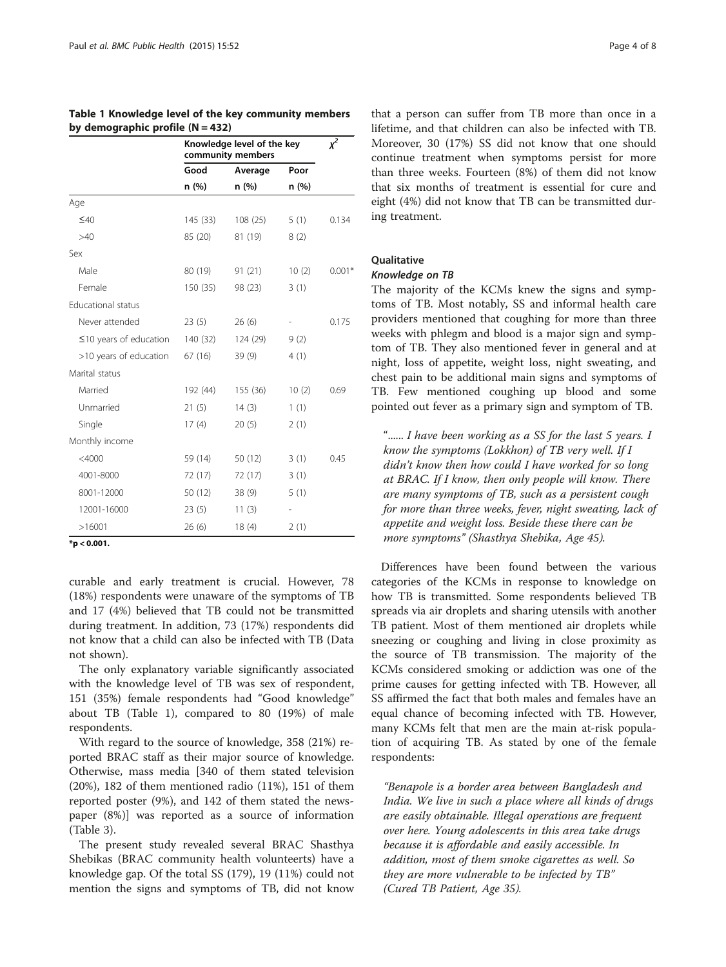|                              | Knowledge level of the key<br>community members | $\chi^2$ |       |          |
|------------------------------|-------------------------------------------------|----------|-------|----------|
|                              | Good                                            | Average  | Poor  |          |
|                              | n (%)                                           | n (%)    | n (%) |          |
| Age                          |                                                 |          |       |          |
| $\leq 40$                    | 145 (33)                                        | 108 (25) | 5(1)  | 0.134    |
| >40                          | 85 (20)                                         | 81 (19)  | 8(2)  |          |
| Sex                          |                                                 |          |       |          |
| Male                         | 80 (19)                                         | 91(21)   | 10(2) | $0.001*$ |
| Female                       | 150 (35)                                        | 98 (23)  | 3(1)  |          |
| Educational status           |                                                 |          |       |          |
| Never attended               | 23(5)                                           | 26(6)    |       | 0.175    |
| $\leq$ 10 years of education | 140 (32)                                        | 124 (29) | 9(2)  |          |
| >10 years of education       | 67 (16)                                         | 39(9)    | 4(1)  |          |
| Marital status               |                                                 |          |       |          |
| Married                      | 192 (44)                                        | 155 (36) | 10(2) | 0.69     |
| Unmarried                    | 21(5)                                           | 14(3)    | 1(1)  |          |
| Single                       | 17(4)                                           | 20(5)    | 2(1)  |          |
| Monthly income               |                                                 |          |       |          |
| $<$ 4000                     | 59 (14)                                         | 50 (12)  | 3(1)  | 0.45     |
| 4001-8000                    | 72 (17)                                         | 72 (17)  | 3(1)  |          |
| 8001-12000                   | 50 (12)                                         | 38(9)    | 5(1)  |          |
| 12001-16000                  | 23(5)                                           | 11(3)    |       |          |
| >16001                       | 26(6)                                           | 18(4)    | 2(1)  |          |

<span id="page-3-0"></span>

|  |  |  |                                  | Table 1 Knowledge level of the key community members |  |
|--|--|--|----------------------------------|------------------------------------------------------|--|
|  |  |  | by demographic profile (N = 432) |                                                      |  |

curable and early treatment is crucial. However, 78 (18%) respondents were unaware of the symptoms of TB and 17 (4%) believed that TB could not be transmitted during treatment. In addition, 73 (17%) respondents did not know that a child can also be infected with TB (Data not shown).

The only explanatory variable significantly associated with the knowledge level of TB was sex of respondent, 151 (35%) female respondents had "Good knowledge" about TB (Table 1), compared to 80 (19%) of male respondents.

With regard to the source of knowledge, 358 (21%) reported BRAC staff as their major source of knowledge. Otherwise, mass media [340 of them stated television (20%), 182 of them mentioned radio (11%), 151 of them reported poster (9%), and 142 of them stated the newspaper (8%)] was reported as a source of information (Table [3\)](#page-4-0).

The present study revealed several BRAC Shasthya Shebikas (BRAC community health volunteerts) have a knowledge gap. Of the total SS (179), 19 (11%) could not mention the signs and symptoms of TB, did not know that a person can suffer from TB more than once in a lifetime, and that children can also be infected with TB. Moreover, 30 (17%) SS did not know that one should continue treatment when symptoms persist for more than three weeks. Fourteen (8%) of them did not know that six months of treatment is essential for cure and eight (4%) did not know that TB can be transmitted during treatment.

## **Qualitative**

## Knowledge on TB

The majority of the KCMs knew the signs and symptoms of TB. Most notably, SS and informal health care providers mentioned that coughing for more than three weeks with phlegm and blood is a major sign and symptom of TB. They also mentioned fever in general and at night, loss of appetite, weight loss, night sweating, and chest pain to be additional main signs and symptoms of TB. Few mentioned coughing up blood and some pointed out fever as a primary sign and symptom of TB.

"...... I have been working as a SS for the last 5 years. I know the symptoms (Lokkhon) of TB very well. If I didn't know then how could I have worked for so long at BRAC. If I know, then only people will know. There are many symptoms of TB, such as a persistent cough for more than three weeks, fever, night sweating, lack of appetite and weight loss. Beside these there can be more symptoms" (Shasthya Shebika, Age 45).

Differences have been found between the various categories of the KCMs in response to knowledge on how TB is transmitted. Some respondents believed TB spreads via air droplets and sharing utensils with another TB patient. Most of them mentioned air droplets while sneezing or coughing and living in close proximity as the source of TB transmission. The majority of the KCMs considered smoking or addiction was one of the prime causes for getting infected with TB. However, all SS affirmed the fact that both males and females have an equal chance of becoming infected with TB. However, many KCMs felt that men are the main at-risk population of acquiring TB. As stated by one of the female respondents:

"Benapole is a border area between Bangladesh and India. We live in such a place where all kinds of drugs are easily obtainable. Illegal operations are frequent over here. Young adolescents in this area take drugs because it is affordable and easily accessible. In addition, most of them smoke cigarettes as well. So they are more vulnerable to be infected by TB" (Cured TB Patient, Age 35).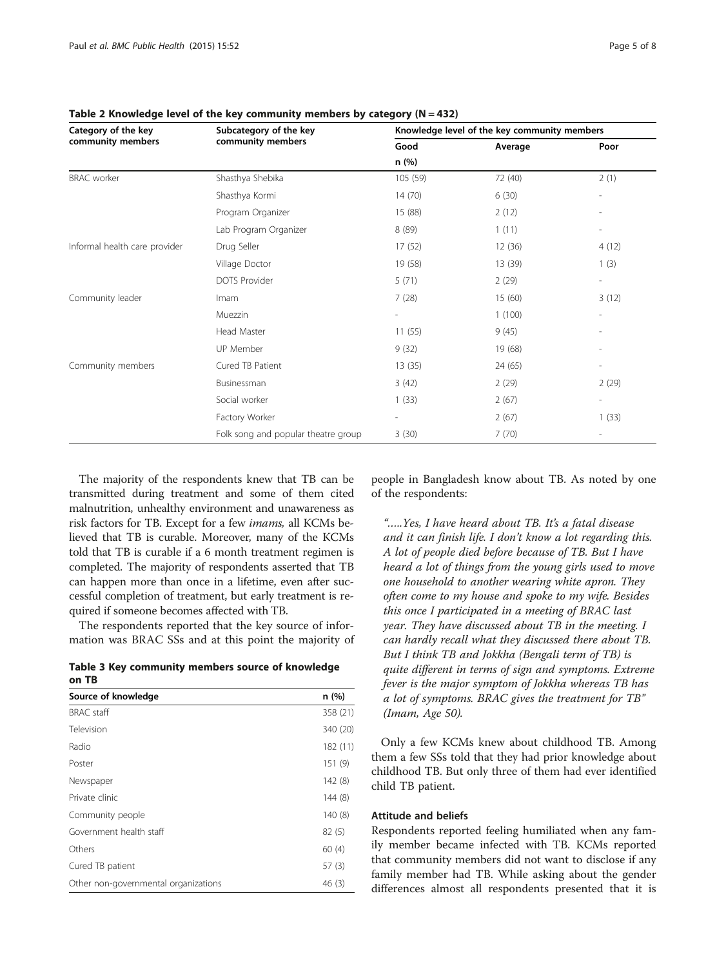| Category of the key           | Subcategory of the key<br>community members |          | Knowledge level of the key community members |                          |  |  |
|-------------------------------|---------------------------------------------|----------|----------------------------------------------|--------------------------|--|--|
| community members             |                                             | Good     | Average                                      | Poor                     |  |  |
|                               |                                             | n (%)    |                                              |                          |  |  |
| <b>BRAC</b> worker            | Shasthya Shebika                            | 105 (59) | 72 (40)                                      | 2(1)                     |  |  |
|                               | Shasthya Kormi                              | 14(70)   | 6(30)                                        | $\overline{\phantom{0}}$ |  |  |
|                               | Program Organizer                           | 15 (88)  | 2(12)                                        | ٠                        |  |  |
|                               | Lab Program Organizer                       | 8(89)    | 1(11)                                        | ٠                        |  |  |
| Informal health care provider | Drug Seller                                 | 17(52)   | 12 (36)                                      | 4(12)                    |  |  |
|                               | Village Doctor                              | 19 (58)  | 13 (39)                                      | 1(3)                     |  |  |
|                               | <b>DOTS Provider</b>                        | 5(71)    | 2(29)                                        | $\overline{a}$           |  |  |
| Community leader              | Imam                                        | 7(28)    | 15(60)                                       | 3(12)                    |  |  |
|                               | Muezzin                                     | -        | 1(100)                                       | $\overline{\phantom{0}}$ |  |  |
|                               | Head Master                                 | 11(55)   | 9(45)                                        | ٠                        |  |  |
|                               | UP Member                                   | 9(32)    | 19 (68)                                      | ٠                        |  |  |
| Community members             | Cured TB Patient                            | 13(35)   | 24 (65)                                      | ٠                        |  |  |
|                               | Businessman                                 | 3(42)    | 2(29)                                        | 2(29)                    |  |  |
|                               | Social worker                               | 1(33)    | 2(67)                                        | $\overline{\phantom{0}}$ |  |  |
|                               | Factory Worker                              | -        | 2(67)                                        | 1(33)                    |  |  |
|                               | Folk song and popular theatre group         | 3(30)    | 7(70)                                        | $\overline{\phantom{0}}$ |  |  |

<span id="page-4-0"></span>Table 2 Knowledge level of the key community members by category ( $N = 432$ )

The majority of the respondents knew that TB can be transmitted during treatment and some of them cited malnutrition, unhealthy environment and unawareness as risk factors for TB. Except for a few imams, all KCMs believed that TB is curable. Moreover, many of the KCMs told that TB is curable if a 6 month treatment regimen is completed. The majority of respondents asserted that TB can happen more than once in a lifetime, even after successful completion of treatment, but early treatment is required if someone becomes affected with TB.

The respondents reported that the key source of information was BRAC SSs and at this point the majority of

|       | Table 3 Key community members source of knowledge |  |  |
|-------|---------------------------------------------------|--|--|
| on TB |                                                   |  |  |

| Source of knowledge                  | n (%)    |
|--------------------------------------|----------|
| <b>BRAC</b> staff                    | 358 (21) |
| Television                           | 340 (20) |
| Radio                                | 182 (11) |
| Poster                               | 151(9)   |
| Newspaper                            | 142(8)   |
| Private clinic                       | 144(8)   |
| Community people                     | 140(8)   |
| Government health staff              | 82(5)    |
| Others                               | 60(4)    |
| Cured TB patient                     | 57(3)    |
| Other non-governmental organizations | 46(3)    |

people in Bangladesh know about TB. As noted by one of the respondents:

"…..Yes, I have heard about TB. It's a fatal disease and it can finish life. I don't know a lot regarding this. A lot of people died before because of TB. But I have heard a lot of things from the young girls used to move one household to another wearing white apron. They often come to my house and spoke to my wife. Besides this once I participated in a meeting of BRAC last year. They have discussed about TB in the meeting. I can hardly recall what they discussed there about TB. But I think TB and Jokkha (Bengali term of TB) is quite different in terms of sign and symptoms. Extreme fever is the major symptom of Jokkha whereas TB has a lot of symptoms. BRAC gives the treatment for TB" (Imam, Age 50).

Only a few KCMs knew about childhood TB. Among them a few SSs told that they had prior knowledge about childhood TB. But only three of them had ever identified child TB patient.

## Attitude and beliefs

Respondents reported feeling humiliated when any family member became infected with TB. KCMs reported that community members did not want to disclose if any family member had TB. While asking about the gender differences almost all respondents presented that it is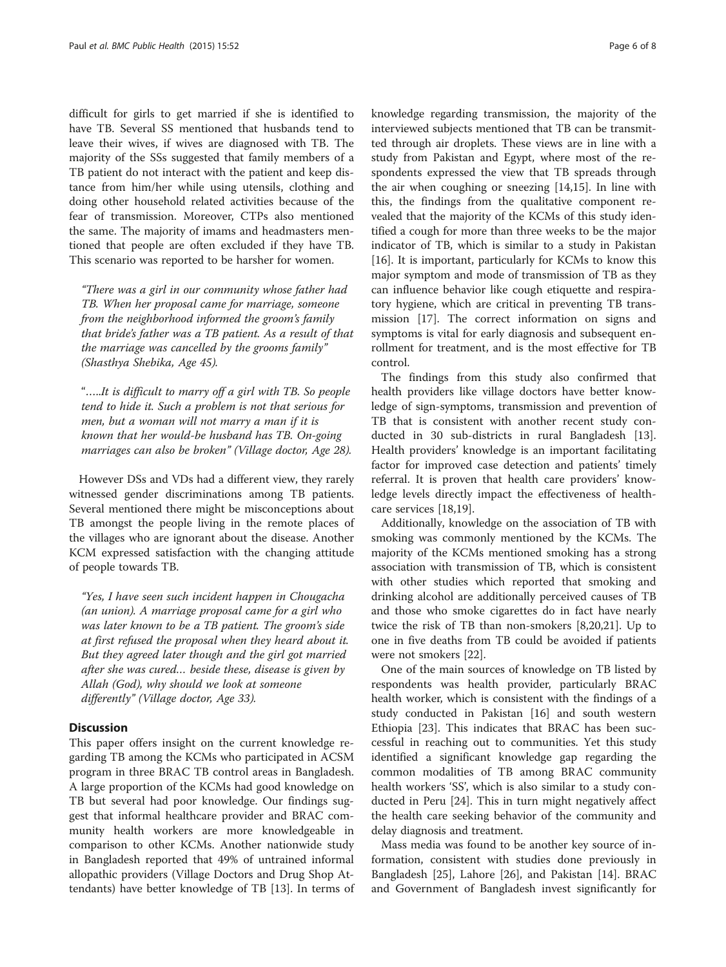difficult for girls to get married if she is identified to have TB. Several SS mentioned that husbands tend to leave their wives, if wives are diagnosed with TB. The majority of the SSs suggested that family members of a TB patient do not interact with the patient and keep distance from him/her while using utensils, clothing and doing other household related activities because of the fear of transmission. Moreover, CTPs also mentioned the same. The majority of imams and headmasters mentioned that people are often excluded if they have TB. This scenario was reported to be harsher for women.

"There was a girl in our community whose father had TB. When her proposal came for marriage, someone from the neighborhood informed the groom's family that bride's father was a TB patient. As a result of that the marriage was cancelled by the grooms family" (Shasthya Shebika, Age 45).

"…..It is difficult to marry off a girl with TB. So people tend to hide it. Such a problem is not that serious for men, but a woman will not marry a man if it is known that her would-be husband has TB. On-going marriages can also be broken" (Village doctor, Age 28).

However DSs and VDs had a different view, they rarely witnessed gender discriminations among TB patients. Several mentioned there might be misconceptions about TB amongst the people living in the remote places of the villages who are ignorant about the disease. Another KCM expressed satisfaction with the changing attitude of people towards TB.

"Yes, I have seen such incident happen in Chougacha (an union). A marriage proposal came for a girl who was later known to be a TB patient. The groom's side at first refused the proposal when they heard about it. But they agreed later though and the girl got married after she was cured… beside these, disease is given by Allah (God), why should we look at someone differently" (Village doctor, Age 33).

## **Discussion**

This paper offers insight on the current knowledge regarding TB among the KCMs who participated in ACSM program in three BRAC TB control areas in Bangladesh. A large proportion of the KCMs had good knowledge on TB but several had poor knowledge. Our findings suggest that informal healthcare provider and BRAC community health workers are more knowledgeable in comparison to other KCMs. Another nationwide study in Bangladesh reported that 49% of untrained informal allopathic providers (Village Doctors and Drug Shop Attendants) have better knowledge of TB [\[13\]](#page-7-0). In terms of

knowledge regarding transmission, the majority of the interviewed subjects mentioned that TB can be transmitted through air droplets. These views are in line with a study from Pakistan and Egypt, where most of the respondents expressed the view that TB spreads through the air when coughing or sneezing [\[14,15\]](#page-7-0). In line with this, the findings from the qualitative component revealed that the majority of the KCMs of this study identified a cough for more than three weeks to be the major indicator of TB, which is similar to a study in Pakistan [[16\]](#page-7-0). It is important, particularly for KCMs to know this major symptom and mode of transmission of TB as they can influence behavior like cough etiquette and respiratory hygiene, which are critical in preventing TB transmission [[17](#page-7-0)]. The correct information on signs and symptoms is vital for early diagnosis and subsequent enrollment for treatment, and is the most effective for TB control.

The findings from this study also confirmed that health providers like village doctors have better knowledge of sign-symptoms, transmission and prevention of TB that is consistent with another recent study conducted in 30 sub-districts in rural Bangladesh [\[13](#page-7-0)]. Health providers' knowledge is an important facilitating factor for improved case detection and patients' timely referral. It is proven that health care providers' knowledge levels directly impact the effectiveness of healthcare services [\[18,19](#page-7-0)].

Additionally, knowledge on the association of TB with smoking was commonly mentioned by the KCMs. The majority of the KCMs mentioned smoking has a strong association with transmission of TB, which is consistent with other studies which reported that smoking and drinking alcohol are additionally perceived causes of TB and those who smoke cigarettes do in fact have nearly twice the risk of TB than non-smokers [\[8,20,21\]](#page-7-0). Up to one in five deaths from TB could be avoided if patients were not smokers [[22\]](#page-7-0).

One of the main sources of knowledge on TB listed by respondents was health provider, particularly BRAC health worker, which is consistent with the findings of a study conducted in Pakistan [\[16](#page-7-0)] and south western Ethiopia [\[23](#page-7-0)]. This indicates that BRAC has been successful in reaching out to communities. Yet this study identified a significant knowledge gap regarding the common modalities of TB among BRAC community health workers 'SS', which is also similar to a study conducted in Peru [[24\]](#page-7-0). This in turn might negatively affect the health care seeking behavior of the community and delay diagnosis and treatment.

Mass media was found to be another key source of information, consistent with studies done previously in Bangladesh [\[25\]](#page-7-0), Lahore [[26](#page-7-0)], and Pakistan [[14](#page-7-0)]. BRAC and Government of Bangladesh invest significantly for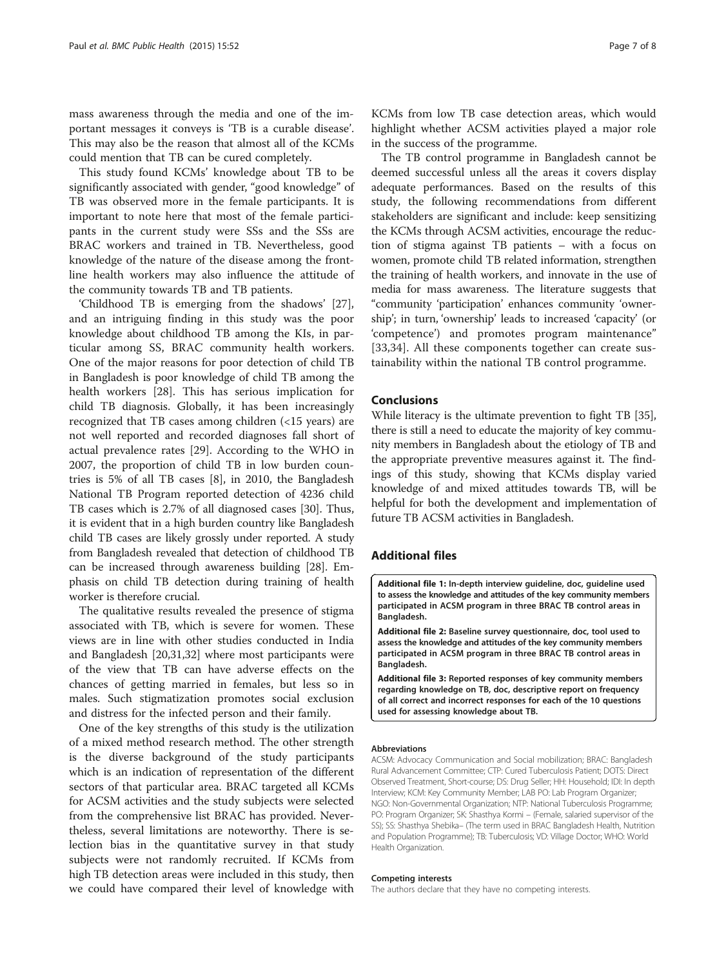<span id="page-6-0"></span>mass awareness through the media and one of the important messages it conveys is 'TB is a curable disease'. This may also be the reason that almost all of the KCMs could mention that TB can be cured completely.

This study found KCMs' knowledge about TB to be significantly associated with gender, "good knowledge" of TB was observed more in the female participants. It is important to note here that most of the female participants in the current study were SSs and the SSs are BRAC workers and trained in TB. Nevertheless, good knowledge of the nature of the disease among the frontline health workers may also influence the attitude of the community towards TB and TB patients.

'Childhood TB is emerging from the shadows' [\[27](#page-7-0)], and an intriguing finding in this study was the poor knowledge about childhood TB among the KIs, in particular among SS, BRAC community health workers. One of the major reasons for poor detection of child TB in Bangladesh is poor knowledge of child TB among the health workers [[28\]](#page-7-0). This has serious implication for child TB diagnosis. Globally, it has been increasingly recognized that TB cases among children (<15 years) are not well reported and recorded diagnoses fall short of actual prevalence rates [[29\]](#page-7-0). According to the WHO in 2007, the proportion of child TB in low burden countries is 5% of all TB cases [\[8](#page-7-0)], in 2010, the Bangladesh National TB Program reported detection of 4236 child TB cases which is 2.7% of all diagnosed cases [\[30](#page-7-0)]. Thus, it is evident that in a high burden country like Bangladesh child TB cases are likely grossly under reported. A study from Bangladesh revealed that detection of childhood TB can be increased through awareness building [\[28\]](#page-7-0). Emphasis on child TB detection during training of health worker is therefore crucial.

The qualitative results revealed the presence of stigma associated with TB, which is severe for women. These views are in line with other studies conducted in India and Bangladesh [[20,31,32\]](#page-7-0) where most participants were of the view that TB can have adverse effects on the chances of getting married in females, but less so in males. Such stigmatization promotes social exclusion and distress for the infected person and their family.

One of the key strengths of this study is the utilization of a mixed method research method. The other strength is the diverse background of the study participants which is an indication of representation of the different sectors of that particular area. BRAC targeted all KCMs for ACSM activities and the study subjects were selected from the comprehensive list BRAC has provided. Nevertheless, several limitations are noteworthy. There is selection bias in the quantitative survey in that study subjects were not randomly recruited. If KCMs from high TB detection areas were included in this study, then we could have compared their level of knowledge with

KCMs from low TB case detection areas, which would highlight whether ACSM activities played a major role in the success of the programme.

The TB control programme in Bangladesh cannot be deemed successful unless all the areas it covers display adequate performances. Based on the results of this study, the following recommendations from different stakeholders are significant and include: keep sensitizing the KCMs through ACSM activities, encourage the reduction of stigma against TB patients – with a focus on women, promote child TB related information, strengthen the training of health workers, and innovate in the use of media for mass awareness. The literature suggests that "community 'participation' enhances community 'ownership'; in turn, 'ownership' leads to increased 'capacity' (or 'competence') and promotes program maintenance" [[33,34](#page-7-0)]. All these components together can create sustainability within the national TB control programme.

## Conclusions

While literacy is the ultimate prevention to fight TB [[35](#page-7-0)], there is still a need to educate the majority of key community members in Bangladesh about the etiology of TB and the appropriate preventive measures against it. The findings of this study, showing that KCMs display varied knowledge of and mixed attitudes towards TB, will be helpful for both the development and implementation of future TB ACSM activities in Bangladesh.

## Additional files

[Additional file 1:](http://www.biomedcentral.com/content/supplementary/s12889-015-1390-5-s1.docx) In-depth interview guideline, doc, guideline used to assess the knowledge and attitudes of the key community members participated in ACSM program in three BRAC TB control areas in Bangladesh.

[Additional file 2:](http://www.biomedcentral.com/content/supplementary/s12889-015-1390-5-s2.docx) Baseline survey questionnaire, doc, tool used to assess the knowledge and attitudes of the key community members participated in ACSM program in three BRAC TB control areas in Bangladesh.

[Additional file 3:](http://www.biomedcentral.com/content/supplementary/s12889-015-1390-5-s3.docx) Reported responses of key community members regarding knowledge on TB, doc, descriptive report on frequency of all correct and incorrect responses for each of the 10 questions used for assessing knowledge about TB.

#### Abbreviations

ACSM: Advocacy Communication and Social mobilization; BRAC: Bangladesh Rural Advancement Committee; CTP: Cured Tuberculosis Patient; DOTS: Direct Observed Treatment, Short-course; DS: Drug Seller; HH: Household; IDI: In depth Interview; KCM: Key Community Member; LAB PO: Lab Program Organizer; NGO: Non-Governmental Organization; NTP: National Tuberculosis Programme; PO: Program Organizer; SK: Shasthya Kormi – (Female, salaried supervisor of the SS); SS: Shasthya Shebika– (The term used in BRAC Bangladesh Health, Nutrition and Population Programme); TB: Tuberculosis; VD: Village Doctor; WHO: World Health Organization.

#### Competing interests

The authors declare that they have no competing interests.